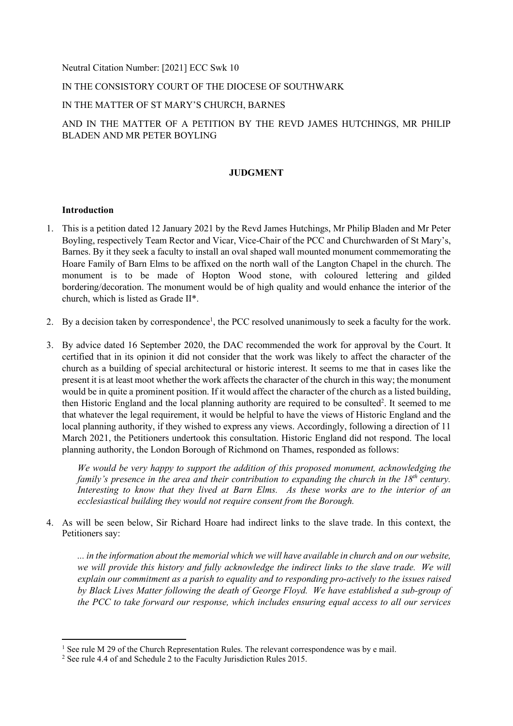Neutral Citation Number: [2021] ECC Swk 10

## IN THE CONSISTORY COURT OF THE DIOCESE OF SOUTHWARK

## IN THE MATTER OF ST MARY'S CHURCH, BARNES

# AND IN THE MATTER OF A PETITION BY THE REVD JAMES HUTCHINGS, MR PHILIP BLADEN AND MR PETER BOYLING

## **JUDGMENT**

#### **Introduction**

- 1. This is a petition dated 12 January 2021 by the Revd James Hutchings, Mr Philip Bladen and Mr Peter Boyling, respectively Team Rector and Vicar, Vice-Chair of the PCC and Churchwarden of St Mary's, Barnes. By it they seek a faculty to install an oval shaped wall mounted monument commemorating the Hoare Family of Barn Elms to be affixed on the north wall of the Langton Chapel in the church. The monument is to be made of Hopton Wood stone, with coloured lettering and gilded bordering/decoration. The monument would be of high quality and would enhance the interior of the church, which is listed as Grade II\*.
- 2. By a decision taken by correspondence<sup>1</sup>, the PCC resolved unanimously to seek a faculty for the work.
- 3. By advice dated 16 September 2020, the DAC recommended the work for approval by the Court. It certified that in its opinion it did not consider that the work was likely to affect the character of the church as a building of special architectural or historic interest. It seems to me that in cases like the present it is at least moot whether the work affects the character of the church in this way; the monument would be in quite a prominent position. If it would affect the character of the church as a listed building, then Historic England and the local planning authority are required to be consulted<sup>2</sup>. It seemed to me that whatever the legal requirement, it would be helpful to have the views of Historic England and the local planning authority, if they wished to express any views. Accordingly, following a direction of 11 March 2021, the Petitioners undertook this consultation. Historic England did not respond. The local planning authority, the London Borough of Richmond on Thames, responded as follows:

*We would be very happy to support the addition of this proposed monument, acknowledging the family's presence in the area and their contribution to expanding the church in the 18th century. Interesting to know that they lived at Barn Elms. As these works are to the interior of an ecclesiastical building they would not require consent from the Borough.* 

4. As will be seen below, Sir Richard Hoare had indirect links to the slave trade. In this context, the Petitioners say:

*... in the information about the memorial which we will have available in church and on our website, we will provide this history and fully acknowledge the indirect links to the slave trade. We will explain our commitment as a parish to equality and to responding pro-actively to the issues raised by Black Lives Matter following the death of George Floyd. We have established a sub-group of the PCC to take forward our response, which includes ensuring equal access to all our services* 

 $<sup>1</sup>$  See rule M 29 of the Church Representation Rules. The relevant correspondence was by e mail.</sup>

<sup>&</sup>lt;sup>2</sup> See rule 4.4 of and Schedule 2 to the Faculty Jurisdiction Rules 2015.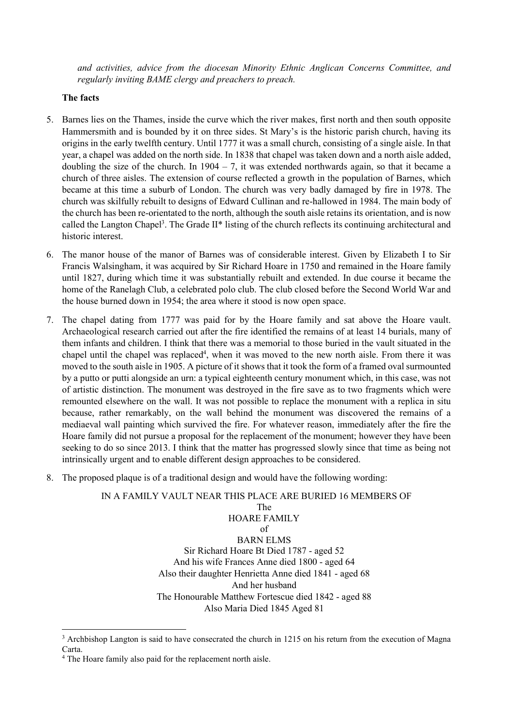*and activities, advice from the diocesan Minority Ethnic Anglican Concerns Committee, and regularly inviting BAME clergy and preachers to preach.* 

#### **The facts**

- 5. Barnes lies on the Thames, inside the curve which the river makes, first north and then south opposite Hammersmith and is bounded by it on three sides. St Mary's is the historic parish church, having its origins in the early twelfth century. Until 1777 it was a small church, consisting of a single aisle. In that year, a chapel was added on the north side. In 1838 that chapel was taken down and a north aisle added, doubling the size of the church. In  $1904 - 7$ , it was extended northwards again, so that it became a church of three aisles. The extension of course reflected a growth in the population of Barnes, which became at this time a suburb of London. The church was very badly damaged by fire in 1978. The church was skilfully rebuilt to designs of Edward Cullinan and re-hallowed in 1984. The main body of the church has been re-orientated to the north, although the south aisle retains its orientation, and is now called the Langton Chapel<sup>3</sup>. The Grade II\* listing of the church reflects its continuing architectural and historic interest.
- 6. The manor house of the manor of Barnes was of considerable interest. Given by Elizabeth I to Sir Francis Walsingham, it was acquired by Sir Richard Hoare in 1750 and remained in the Hoare family until 1827, during which time it was substantially rebuilt and extended. In due course it became the home of the Ranelagh Club, a celebrated polo club. The club closed before the Second World War and the house burned down in 1954; the area where it stood is now open space.
- 7. The chapel dating from 1777 was paid for by the Hoare family and sat above the Hoare vault. Archaeological research carried out after the fire identified the remains of at least 14 burials, many of them infants and children. I think that there was a memorial to those buried in the vault situated in the chapel until the chapel was replaced<sup>4</sup>, when it was moved to the new north aisle. From there it was moved to the south aisle in 1905. A picture of it shows that it took the form of a framed oval surmounted by a putto or putti alongside an urn: a typical eighteenth century monument which, in this case, was not of artistic distinction. The monument was destroyed in the fire save as to two fragments which were remounted elsewhere on the wall. It was not possible to replace the monument with a replica in situ because, rather remarkably, on the wall behind the monument was discovered the remains of a mediaeval wall painting which survived the fire. For whatever reason, immediately after the fire the Hoare family did not pursue a proposal for the replacement of the monument; however they have been seeking to do so since 2013. I think that the matter has progressed slowly since that time as being not intrinsically urgent and to enable different design approaches to be considered.
- 8. The proposed plaque is of a traditional design and would have the following wording:

# IN A FAMILY VAULT NEAR THIS PLACE ARE BURIED 16 MEMBERS OF The HOARE FAMILY of BARN ELMS Sir Richard Hoare Bt Died 1787 - aged 52 And his wife Frances Anne died 1800 - aged 64 Also their daughter Henrietta Anne died 1841 - aged 68 And her husband The Honourable Matthew Fortescue died 1842 - aged 88 Also Maria Died 1845 Aged 81

<sup>&</sup>lt;sup>3</sup> Archbishop Langton is said to have consecrated the church in 1215 on his return from the execution of Magna Carta.

<sup>&</sup>lt;sup>4</sup> The Hoare family also paid for the replacement north aisle.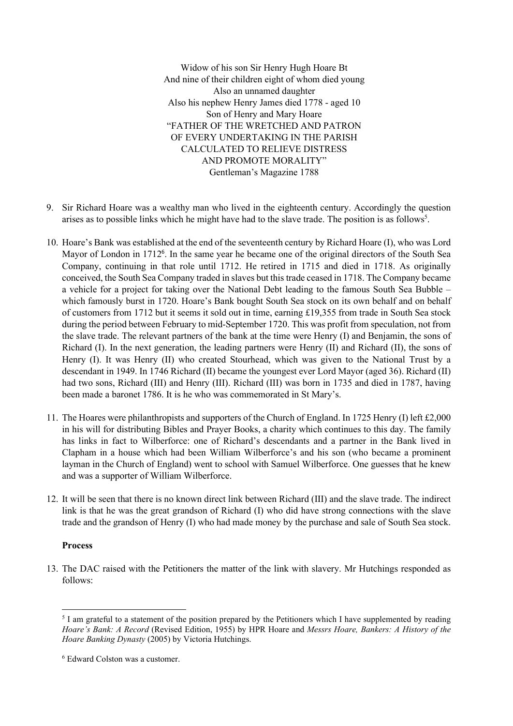Widow of his son Sir Henry Hugh Hoare Bt And nine of their children eight of whom died young Also an unnamed daughter Also his nephew Henry James died 1778 - aged 10 Son of Henry and Mary Hoare "FATHER OF THE WRETCHED AND PATRON OF EVERY UNDERTAKING IN THE PARISH CALCULATED TO RELIEVE DISTRESS AND PROMOTE MORALITY" Gentleman's Magazine 1788

- 9. Sir Richard Hoare was a wealthy man who lived in the eighteenth century. Accordingly the question arises as to possible links which he might have had to the slave trade. The position is as follows<sup>5</sup>.
- 10. Hoare's Bank was established at the end of the seventeenth century by Richard Hoare (I), who was Lord Mayor of London in 1712<sup>6</sup>. In the same year he became one of the original directors of the South Sea Company, continuing in that role until 1712. He retired in 1715 and died in 1718. As originally conceived, the South Sea Company traded in slaves but this trade ceased in 1718. The Company became a vehicle for a project for taking over the National Debt leading to the famous South Sea Bubble – which famously burst in 1720. Hoare's Bank bought South Sea stock on its own behalf and on behalf of customers from 1712 but it seems it sold out in time, earning £19,355 from trade in South Sea stock during the period between February to mid-September 1720. This was profit from speculation, not from the slave trade. The relevant partners of the bank at the time were Henry (I) and Benjamin, the sons of Richard (I). In the next generation, the leading partners were Henry  $(II)$  and Richard  $(II)$ , the sons of Henry (I). It was Henry (II) who created Stourhead, which was given to the National Trust by a descendant in 1949. In 1746 Richard (II) became the youngest ever Lord Mayor (aged 36). Richard (II) had two sons, Richard (III) and Henry (III). Richard (III) was born in 1735 and died in 1787, having been made a baronet 1786. It is he who was commemorated in St Mary's.
- 11. The Hoares were philanthropists and supporters of the Church of England. In 1725 Henry (I) left £2,000 in his will for distributing Bibles and Prayer Books, a charity which continues to this day. The family has links in fact to Wilberforce: one of Richard's descendants and a partner in the Bank lived in Clapham in a house which had been William Wilberforce's and his son (who became a prominent layman in the Church of England) went to school with Samuel Wilberforce. One guesses that he knew and was a supporter of William Wilberforce.
- 12. It will be seen that there is no known direct link between Richard (III) and the slave trade. The indirect link is that he was the great grandson of Richard (I) who did have strong connections with the slave trade and the grandson of Henry (I) who had made money by the purchase and sale of South Sea stock.

#### **Process**

13. The DAC raised with the Petitioners the matter of the link with slavery. Mr Hutchings responded as follows:

<sup>&</sup>lt;sup>5</sup> I am grateful to a statement of the position prepared by the Petitioners which I have supplemented by reading *Hoare's Bank: A Record* (Revised Edition, 1955) by HPR Hoare and *Messrs Hoare, Bankers: A History of the Hoare Banking Dynasty* (2005) by Victoria Hutchings.

<sup>6</sup> Edward Colston was a customer.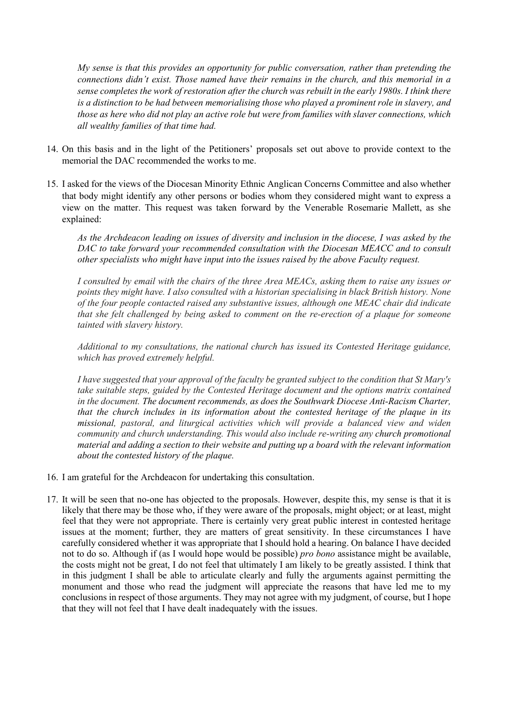*My sense is that this provides an opportunity for public conversation, rather than pretending the connections didn't exist. Those named have their remains in the church, and this memorial in a sense completes the work of restoration after the church was rebuilt in the early 1980s. I think there is a distinction to be had between memorialising those who played a prominent role in slavery, and those as here who did not play an active role but were from families with slaver connections, which all wealthy families of that time had.* 

- 14. On this basis and in the light of the Petitioners' proposals set out above to provide context to the memorial the DAC recommended the works to me.
- 15. I asked for the views of the Diocesan Minority Ethnic Anglican Concerns Committee and also whether that body might identify any other persons or bodies whom they considered might want to express a view on the matter. This request was taken forward by the Venerable Rosemarie Mallett, as she explained:

*As the Archdeacon leading on issues of diversity and inclusion in the diocese, I was asked by the DAC to take forward your recommended consultation with the Diocesan MEACC and to consult other specialists who might have input into the issues raised by the above Faculty request.* 

*I consulted by email with the chairs of the three Area MEACs, asking them to raise any issues or points they might have. I also consulted with a historian specialising in black British history. None of the four people contacted raised any substantive issues, although one MEAC chair did indicate that she felt challenged by being asked to comment on the re-erection of a plaque for someone tainted with slavery history.* 

*Additional to my consultations, the national church has issued its Contested Heritage guidance, which has proved extremely helpful.* 

*I have suggested that your approval of the faculty be granted subject to the condition that St Mary's take suitable steps, guided by the Contested Heritage document and the options matrix contained in the document. The document recommends, as does the Southwark Diocese Anti-Racism Charter, that the church includes in its information about the contested heritage of the plaque in its missional, pastoral, and liturgical activities which will provide a balanced view and widen community and church understanding. This would also include re-writing any church promotional material and adding a section to their website and putting up a board with the relevant information about the contested history of the plaque.* 

- 16. I am grateful for the Archdeacon for undertaking this consultation.
- 17. It will be seen that no-one has objected to the proposals. However, despite this, my sense is that it is likely that there may be those who, if they were aware of the proposals, might object; or at least, might feel that they were not appropriate. There is certainly very great public interest in contested heritage issues at the moment; further, they are matters of great sensitivity. In these circumstances I have carefully considered whether it was appropriate that I should hold a hearing. On balance I have decided not to do so. Although if (as I would hope would be possible) *pro bono* assistance might be available, the costs might not be great, I do not feel that ultimately I am likely to be greatly assisted. I think that in this judgment I shall be able to articulate clearly and fully the arguments against permitting the monument and those who read the judgment will appreciate the reasons that have led me to my conclusions in respect of those arguments. They may not agree with my judgment, of course, but I hope that they will not feel that I have dealt inadequately with the issues.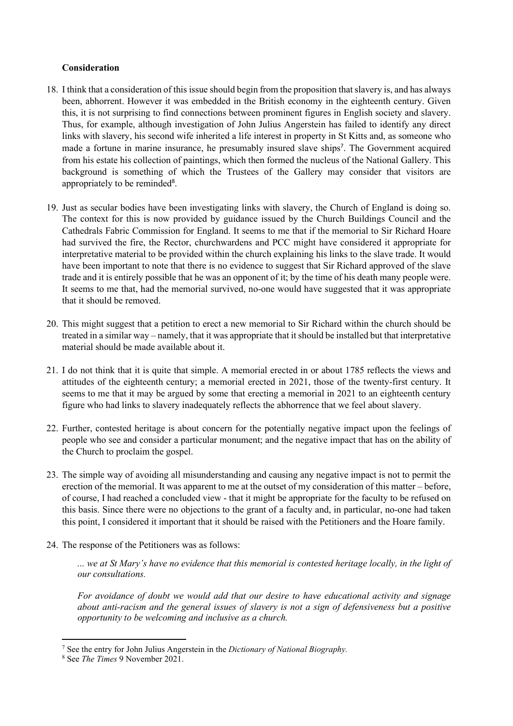## **Consideration**

- 18. I think that a consideration of this issue should begin from the proposition that slavery is, and has always been, abhorrent. However it was embedded in the British economy in the eighteenth century. Given this, it is not surprising to find connections between prominent figures in English society and slavery. Thus, for example, although investigation of John Julius Angerstein has failed to identify any direct links with slavery, his second wife inherited a life interest in property in St Kitts and, as someone who made a fortune in marine insurance, he presumably insured slave ships<sup>7</sup>. The Government acquired from his estate his collection of paintings, which then formed the nucleus of the National Gallery. This background is something of which the Trustees of the Gallery may consider that visitors are appropriately to be reminded<sup>8</sup>.
- 19. Just as secular bodies have been investigating links with slavery, the Church of England is doing so. The context for this is now provided by guidance issued by the Church Buildings Council and the Cathedrals Fabric Commission for England. It seems to me that if the memorial to Sir Richard Hoare had survived the fire, the Rector, churchwardens and PCC might have considered it appropriate for interpretative material to be provided within the church explaining his links to the slave trade. It would have been important to note that there is no evidence to suggest that Sir Richard approved of the slave trade and it is entirely possible that he was an opponent of it; by the time of his death many people were. It seems to me that, had the memorial survived, no-one would have suggested that it was appropriate that it should be removed.
- 20. This might suggest that a petition to erect a new memorial to Sir Richard within the church should be treated in a similar way – namely, that it was appropriate that it should be installed but that interpretative material should be made available about it.
- 21. I do not think that it is quite that simple. A memorial erected in or about 1785 reflects the views and attitudes of the eighteenth century; a memorial erected in 2021, those of the twenty-first century. It seems to me that it may be argued by some that erecting a memorial in 2021 to an eighteenth century figure who had links to slavery inadequately reflects the abhorrence that we feel about slavery.
- 22. Further, contested heritage is about concern for the potentially negative impact upon the feelings of people who see and consider a particular monument; and the negative impact that has on the ability of the Church to proclaim the gospel.
- 23. The simple way of avoiding all misunderstanding and causing any negative impact is not to permit the erection of the memorial. It was apparent to me at the outset of my consideration of this matter – before, of course, I had reached a concluded view - that it might be appropriate for the faculty to be refused on this basis. Since there were no objections to the grant of a faculty and, in particular, no-one had taken this point, I considered it important that it should be raised with the Petitioners and the Hoare family.
- 24. The response of the Petitioners was as follows:

*... we at St Mary's have no evidence that this memorial is contested heritage locally, in the light of our consultations.* 

*For avoidance of doubt we would add that our desire to have educational activity and signage about anti-racism and the general issues of slavery is not a sign of defensiveness but a positive opportunity to be welcoming and inclusive as a church.* 

<sup>7</sup> See the entry for John Julius Angerstein in the *Dictionary of National Biography.*

<sup>8</sup> See *The Times* 9 November 2021.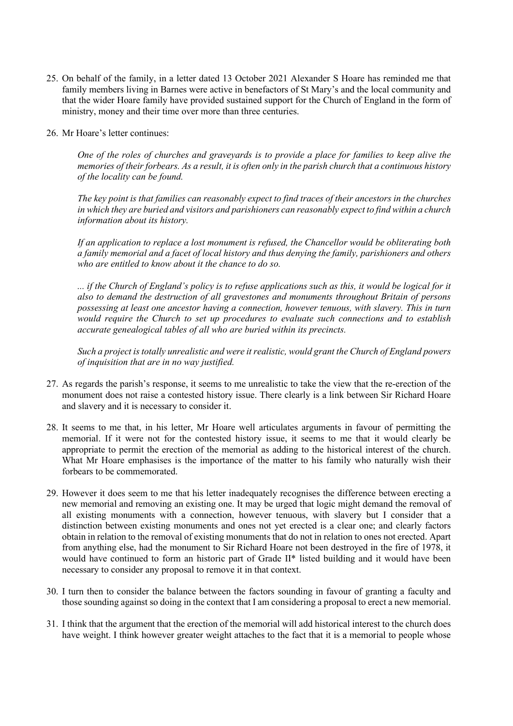- 25. On behalf of the family, in a letter dated 13 October 2021 Alexander S Hoare has reminded me that family members living in Barnes were active in benefactors of St Mary's and the local community and that the wider Hoare family have provided sustained support for the Church of England in the form of ministry, money and their time over more than three centuries.
- 26. Mr Hoare's letter continues:

*One of the roles of churches and graveyards is to provide a place for families to keep alive the memories of their forbears. As a result, it is often only in the parish church that a continuous history of the locality can be found.* 

*The key point is that families can reasonably expect to find traces of their ancestors in the churches in which they are buried and visitors and parishioners can reasonably expect to find within a church information about its history.* 

*If an application to replace a lost monument is refused, the Chancellor would be obliterating both a family memorial and a facet of local history and thus denying the family, parishioners and others who are entitled to know about it the chance to do so.* 

*... if the Church of England's policy is to refuse applications such as this, it would be logical for it also to demand the destruction of all gravestones and monuments throughout Britain of persons possessing at least one ancestor having a connection, however tenuous, with slavery. This in turn would require the Church to set up procedures to evaluate such connections and to establish accurate genealogical tables of all who are buried within its precincts.* 

*Such a project is totally unrealistic and were it realistic, would grant the Church of England powers of inquisition that are in no way justified.* 

- 27. As regards the parish's response, it seems to me unrealistic to take the view that the re-erection of the monument does not raise a contested history issue. There clearly is a link between Sir Richard Hoare and slavery and it is necessary to consider it.
- 28. It seems to me that, in his letter, Mr Hoare well articulates arguments in favour of permitting the memorial. If it were not for the contested history issue, it seems to me that it would clearly be appropriate to permit the erection of the memorial as adding to the historical interest of the church. What Mr Hoare emphasises is the importance of the matter to his family who naturally wish their forbears to be commemorated.
- 29. However it does seem to me that his letter inadequately recognises the difference between erecting a new memorial and removing an existing one. It may be urged that logic might demand the removal of all existing monuments with a connection, however tenuous, with slavery but I consider that a distinction between existing monuments and ones not yet erected is a clear one; and clearly factors obtain in relation to the removal of existing monuments that do not in relation to ones not erected. Apart from anything else, had the monument to Sir Richard Hoare not been destroyed in the fire of 1978, it would have continued to form an historic part of Grade II\* listed building and it would have been necessary to consider any proposal to remove it in that context.
- 30. I turn then to consider the balance between the factors sounding in favour of granting a faculty and those sounding against so doing in the context that I am considering a proposal to erect a new memorial.
- 31. I think that the argument that the erection of the memorial will add historical interest to the church does have weight. I think however greater weight attaches to the fact that it is a memorial to people whose